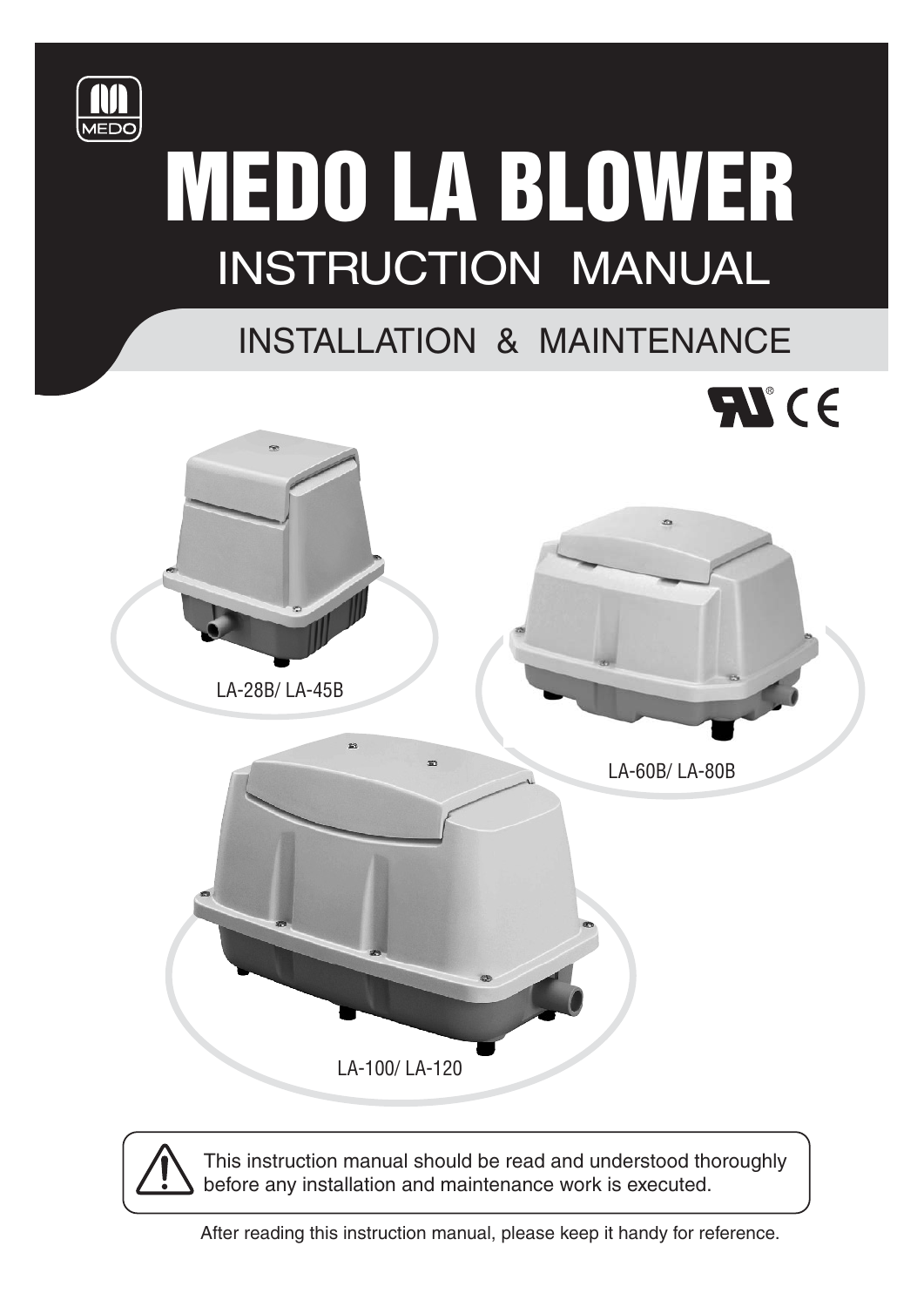

# MEDO LA BLOWER INSTRUCTION MANUAL

# INSTALLATION & MAINTENANCE



This instruction manual should be read and understood thoroughly before any installation and maintenance work is executed.

After reading this instruction manual, please keep it handy for reference.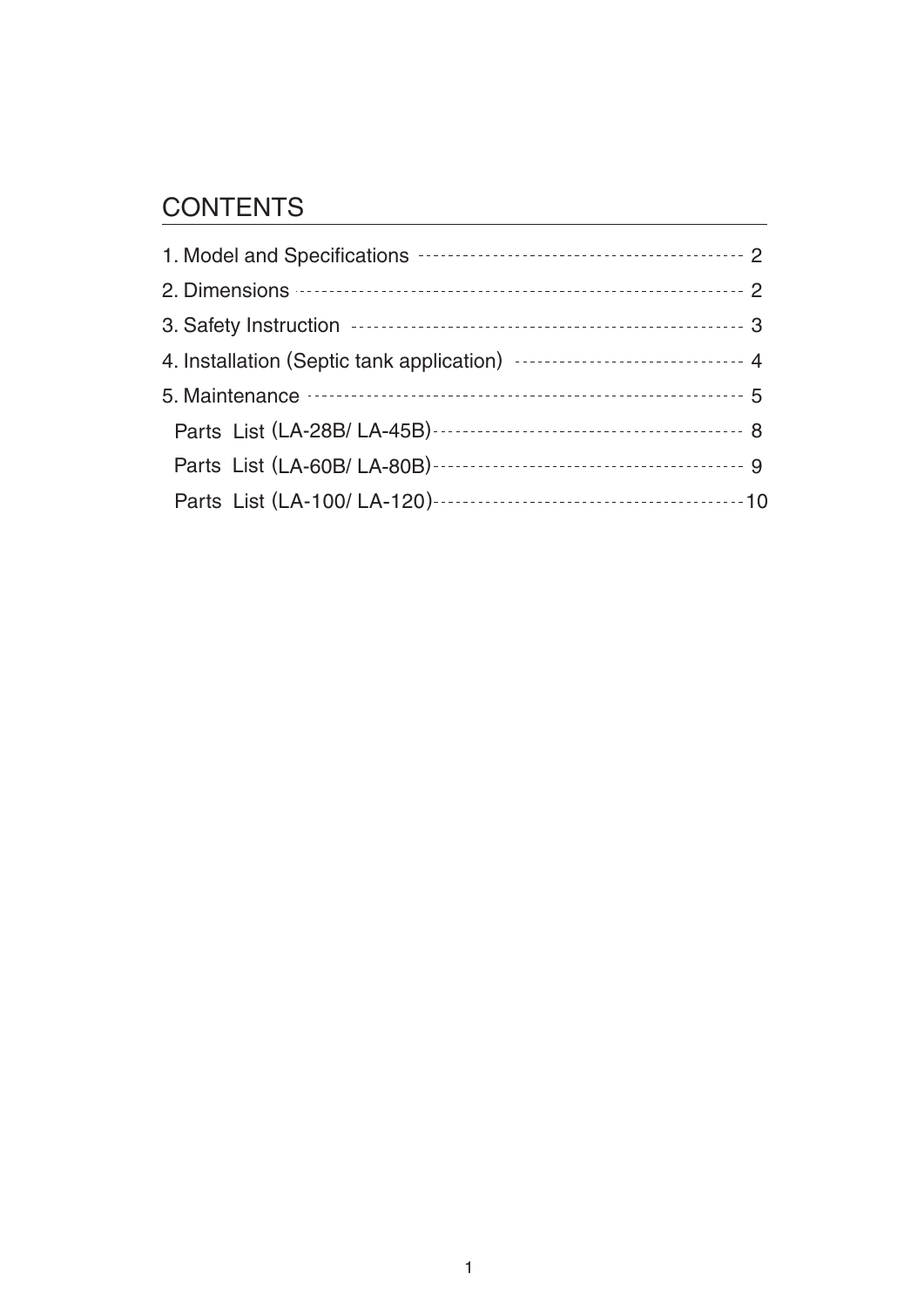## **CONTENTS**

| 3. Safety Instruction <b>contract to the COVID-100</b> state of 3                                                                                                                                                                   |  |
|-------------------------------------------------------------------------------------------------------------------------------------------------------------------------------------------------------------------------------------|--|
| 4. Installation (Septic tank application) ------------------------------ 4                                                                                                                                                          |  |
| 5. Maintenance <b>continuous</b> contract to the contract of the contract of the contract of the contract of the contract of the contract of the contract of the contract of the contract of the contract of the contract of the co |  |
|                                                                                                                                                                                                                                     |  |
|                                                                                                                                                                                                                                     |  |
|                                                                                                                                                                                                                                     |  |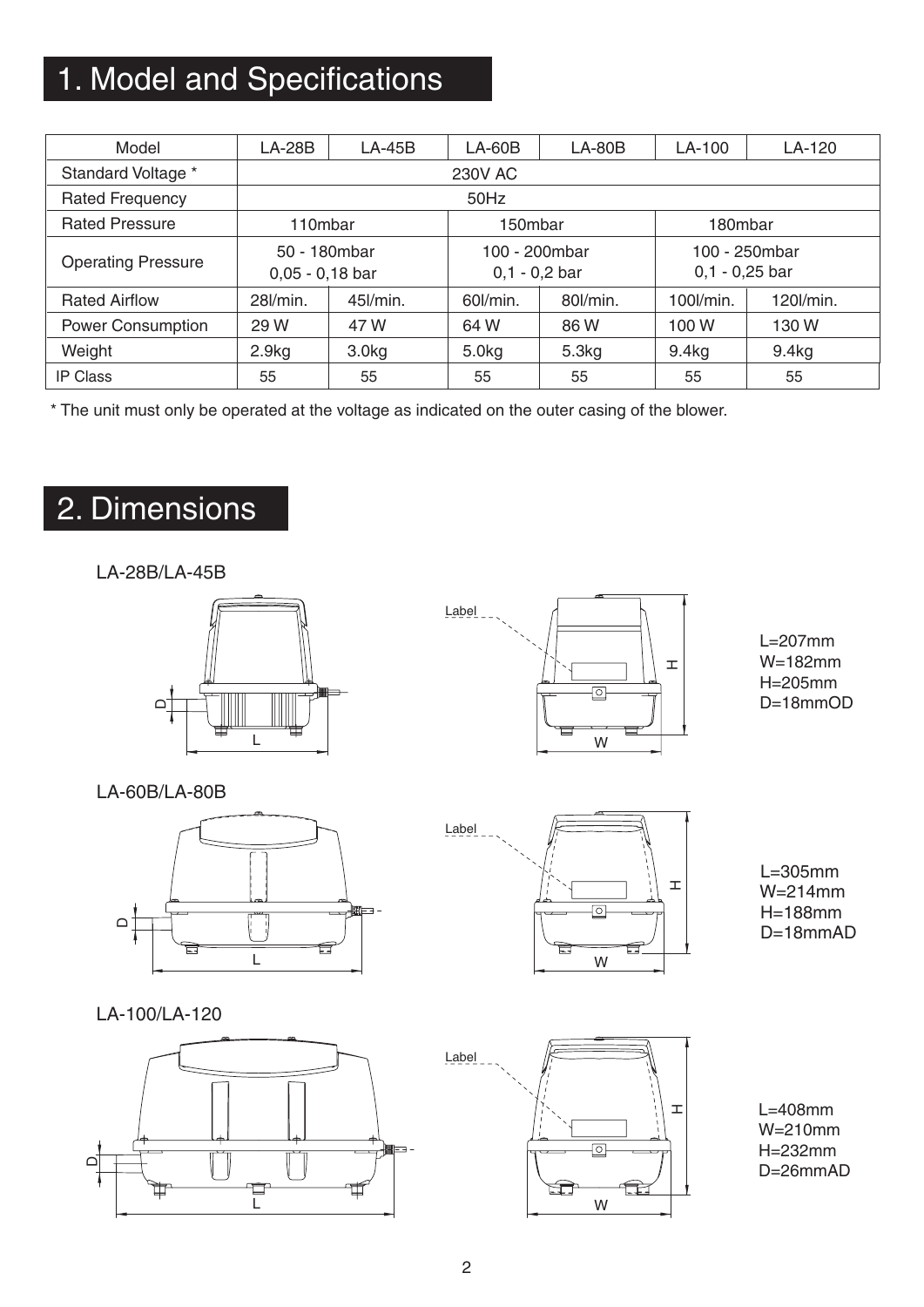## 1. Model and Specifications

| Model                     | $LA-28B$                          | $LA-45B$       | $LA-60B$                         | $LA-80B$             | LA-100                            | LA-120            |  |  |  |  |  |
|---------------------------|-----------------------------------|----------------|----------------------------------|----------------------|-----------------------------------|-------------------|--|--|--|--|--|
| Standard Voltage *        |                                   | <b>230V AC</b> |                                  |                      |                                   |                   |  |  |  |  |  |
| <b>Rated Frequency</b>    |                                   | 50Hz           |                                  |                      |                                   |                   |  |  |  |  |  |
| <b>Rated Pressure</b>     | 110mbar                           |                | 150mbar                          |                      | 180mbar                           |                   |  |  |  |  |  |
| <b>Operating Pressure</b> | 50 - 180mbar<br>$0,05 - 0,18$ bar |                | 100 - 200mbar<br>$0,1 - 0,2$ bar |                      | 100 - 250mbar<br>$0,1 - 0,25$ bar |                   |  |  |  |  |  |
| <b>Rated Airflow</b>      | 28 <i>l/min.</i>                  | $45$ I/min.    |                                  | 60l/min.<br>80l/min. |                                   | 120l/min.         |  |  |  |  |  |
| <b>Power Consumption</b>  | 29 W<br>47 W                      |                | 64 W                             | 86W                  | 100W                              | 130 W             |  |  |  |  |  |
| Weight                    | 2.9kg<br>3.0 <sub>kg</sub>        |                | 5.0kg                            | 5.3kg                | 9.4 <sub>kg</sub>                 | 9.4 <sub>kg</sub> |  |  |  |  |  |
| <b>IP Class</b>           | 55                                | 55             | 55                               | 55                   | 55                                | 55                |  |  |  |  |  |

\* The unit must only be operated at the voltage as indicated on the outer casing of the blower.

## 2. Dimensions

LA-28B/LA-45B





 $L=207$ mm W=182mm H=205mm D=18mmOD

LA-60B/LA-80B





L=307mm L=305mm W=214mm H=208mm H=188mm D=18mmAD

LA-100/LA-120





L=408mm W=210mm H=232mm D=26mmAD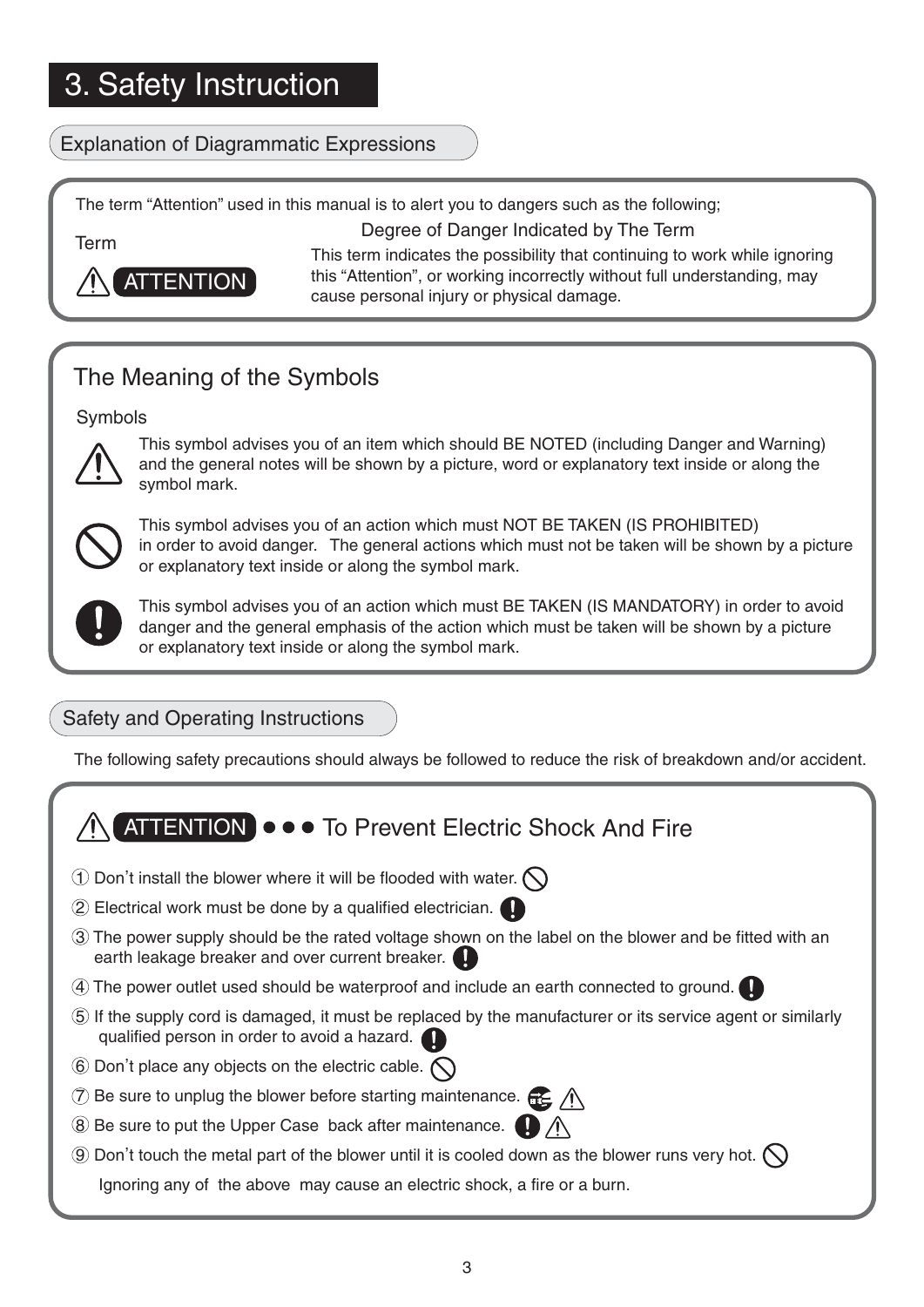### Explanation of Diagrammatic Expressions

The term "Attention" used in this manual is to alert you to dangers such as the following;

Degree of Danger Indicated by The Term

Term



This term indicates the possibility that continuing to work while ignoring this "Attention", or working incorrectly without full understanding, may cause personal injury or physical damage.

## The Meaning of the Symbols

Symbols



This symbol advises you of an item which should BE NOTED (including Danger and Warning) and the general notes will be shown by a picture, word or explanatory text inside or along the symbol mark.



This symbol advises you of an action which must NOT BE TAKEN (IS PROHIBITED) in order to avoid danger. The general actions which must not be taken will be shown by a picture or explanatory text inside or along the symbol mark.



This symbol advises you of an action which must BE TAKEN (IS MANDATORY) in order to avoid danger and the general emphasis of the action which must be taken will be shown by a picture or explanatory text inside or along the symbol mark.

## Safety and Operating Instructions

The following safety precautions should always be followed to reduce the risk of breakdown and/or accident.

## ATTENTION )  $\bullet \bullet \bullet$  To Prevent Electric Shock And Fire

- $\widehat{1}$  Don't install the blower where it will be flooded with water.
- 2 Electrical work must be done by a qualified electrician.
- 3 The power supply should be the rated voltage shown on the label on the blower and be fitted with an earth leakage breaker and over current breaker.
- 4 The power outlet used should be waterproof and include an earth connected to ground.
- 5 If the supply cord is damaged, it must be replaced by the manufacturer or its service agent or similarly qualified person in order to avoid a hazard.
- $\widehat{6}$  Don't place any objects on the electric cable.
- $\overline{7}$  Be sure to unplug the blower before starting maintenance.  $\overline{22}$   $\Lambda$
- 8 Be sure to put the Upper Case back after maintenance.
- 9 Don, t touch the metal part of the blower until it is cooled down as the blower runs very hot. Ignoring any of the above may cause an electric shock, a fire or a burn.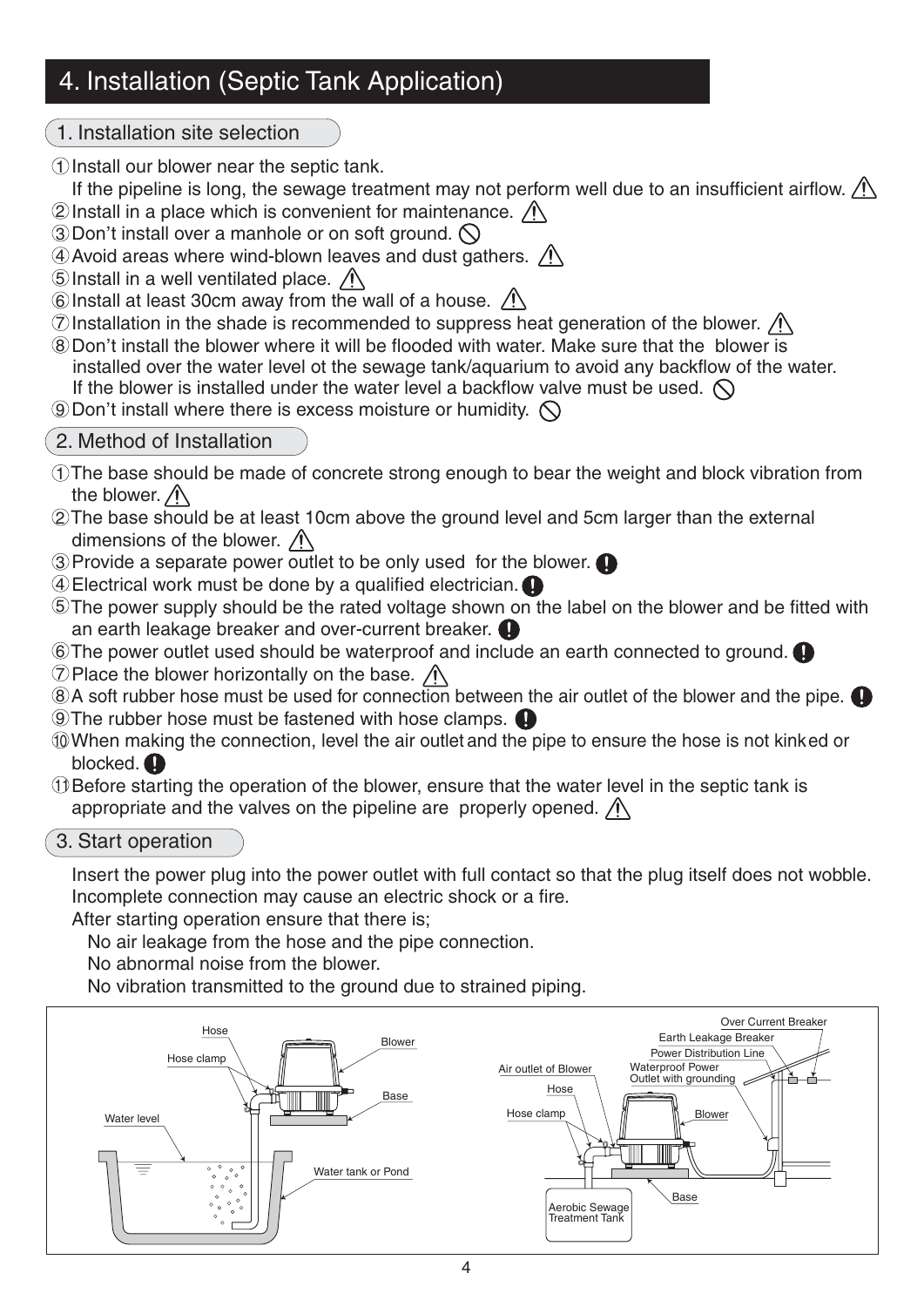## 4. Installation (Septic Tank Application)

1. Installation site selection

 $\mathbb D$  Install our blower near the septic tank.

If the pipeline is long, the sewage treatment may not perform well due to an insufficient airflow.  $\bigwedge$  $\widehat{2}$  Install in a place which is convenient for maintenance.

**Exhibited in a place which is convenient for manity** 3 Don't install over a manhole or on soft ground.

 $\rm 4$  Avoid areas where wind-blown leaves and dust gathers.

5) Install in a well ventilated place.

 $6$  Install at least 30cm away from the wall of a house.

 ${\mathcal{D}}$ Installation in the shade is recommended to suppress heat generation of the blower.

 $\frac{D}{D}$  installation in the shade is recommended to suppress near generation of the blower.  $\frac{D}{D}$  is a Don't install the blower where it will be flooded with water. Make sure that the blower is installed over the water level ot the sewage tank/aquarium to avoid any backflow of the water.

If the blower is installed under the water level a backflow valve must be used.  $\bigcirc$ **EXECUTE TO MOTEL IS INSTERNATION**<br> **EXCESS MOISTURE OF HUMIDITY.** 

### 2. Method of Installation

- $\mathbb D$ The base should be made of concrete strong enough to bear the weight and block vibration from the blower.  $\bigwedge$
- $\widehat{\boldsymbol{\mathcal{Z}}}$ The base should be at least 10cm above the ground level and 5cm larger than the external dimensions of the blower.  $\bigwedge$
- Provide a separate power outlet to be only used for the blower. 3
- Electrical work must be done by a qualified electrician. 4
- $5$ The power supply should be the rated voltage shown on the label on the blower and be fitted with an earth leakage breaker and over-current breaker.
- $6$ The power outlet used should be waterproof and include an earth connected to ground.  ${\mathbb Z}$  Place the blower horizontally on the base.
- $8$ )A soft rubber hose must be used for connection between the air outlet of the blower and the pipe. The rubber hose must be fastened with hose clamps. 9
- When making the connection, level the air outlet and the pipe to ensure the hose is not kinked or 10 blocked.  $\bullet$
- $\mathbb D$ Before starting the operation of the blower, ensure that the water level in the septic tank is appropriate and the valves on the pipeline are properly opened.  $\bigwedge$

#### 3. Start operation

Insert the power plug into the power outlet with full contact so that the plug itself does not wobble. Incomplete connection may cause an electric shock or a fire.

After starting operation ensure that there is;

No air leakage from the hose and the pipe connection.

No abnormal noise from the blower.

No vibration transmitted to the ground due to strained piping.

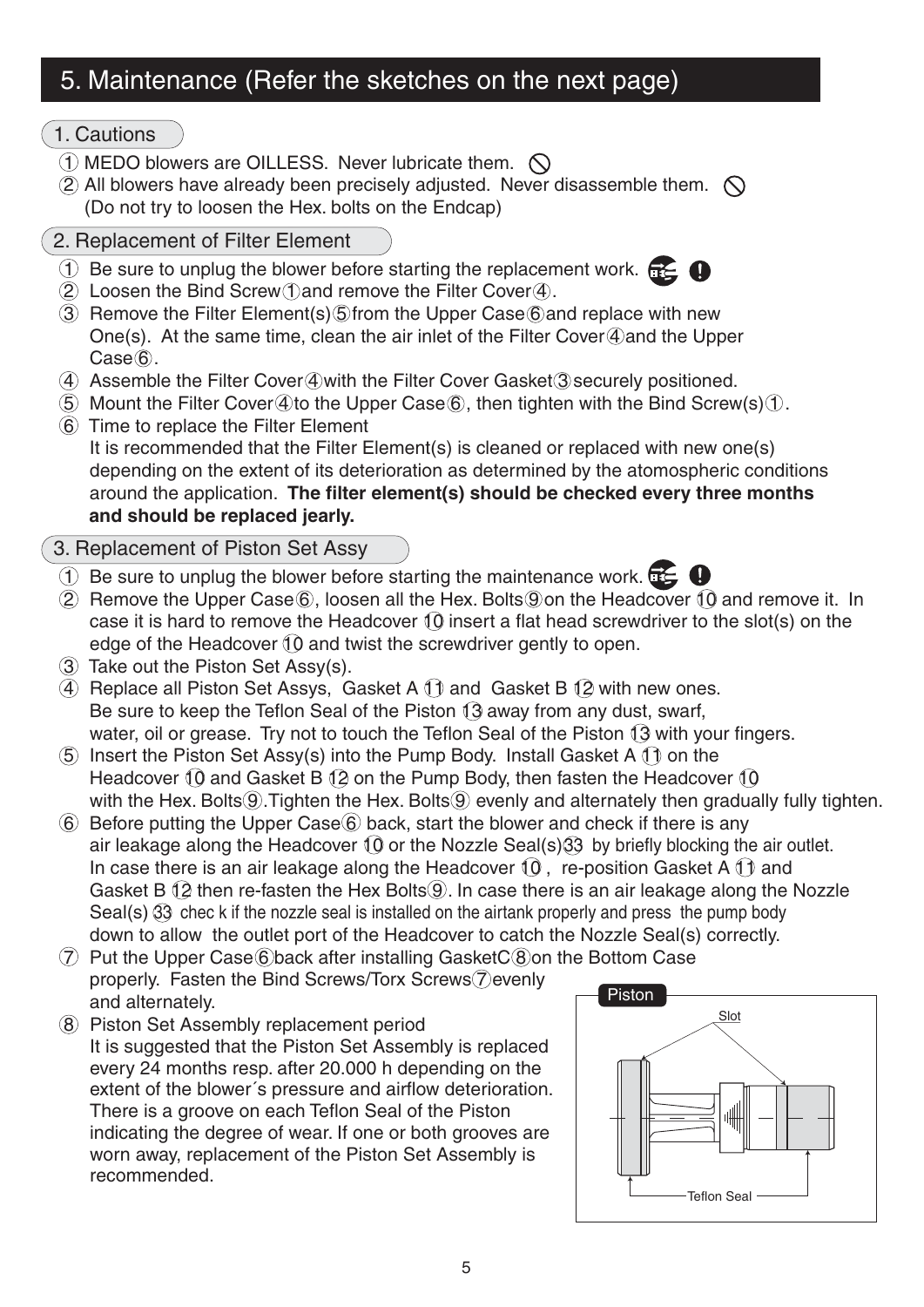## 5. Maintenance (Refer the sketches on the next page)

#### 1. Cautions

- $\Omega$  MEDO blowers are OILLESS. Never lubricate them.  $\Omega$
- $(2)$  All blowers have already been precisely adjusted. Never disassemble them.  $\bigcirc$ (Do not try to loosen the Hex. bolts on the Endcap)

# 2. Replacement of Filter Element

- 1) Be sure to unplug the blower before starting the replacement work.
- $(2)$  Loosen the Bind Screw (1) and remove the Filter Cover  $(4)$ .
- 3 Remove the Filter Element(s)  $\circ$  from the Upper Case  $\circledS$  and replace with new One(s). At the same time, clean the air inlet of the Filter Cover  $\mathcal Q$  and the Upper  $Case 6.$
- 4 Assemble the Filter Cover 4 with the Filter Cover Gasket 3 securely positioned.
- $\overline{5}$  Mount the Filter Cover 4 to the Upper Case  $\overline{6}$ , then tighten with the Bind Screw(s)  $\overline{1}$ .
- 6 Time to replace the Filter Element

It is recommended that the Filter Element(s) is cleaned or replaced with new one(s) depending on the extent of its deterioration as determined by the atomospheric conditions around the application. **The filter element(s) should be checked every three months and should be replaced jearly.**

- 3. Replacement of Piston Set Assy
- $\overline{1}$  Be sure to unplug the blower before starting the maintenance work.
- $(2)$  Remove the Upper Case  $(6)$ , loosen all the Hex. Bolts  $(9)$  on the Headcover  $(1)$  and remove it. In case it is hard to remove the Headcover  $\{0\}$  insert a flat head screwdriver to the slot(s) on the edge of the Headcover  $\theta$  and twist the screwdriver gently to open.
- 3 Take out the Piston Set Assy(s).
- $(4)$  Replace all Piston Set Assys, Gasket A  $(1)$  and Gasket B  $(2)$  with new ones. Be sure to keep the Teflon Seal of the Piston  $\sqrt{3}$  away from any dust, swarf, water, oil or grease. Try not to touch the Teflon Seal of the Piston  $\Omega$  with your fingers.
- $(5)$  Insert the Piston Set Assy(s) into the Pump Body. Install Gasket A  $(1)$  on the Headcover  $\{0\}$  and Gasket B  $\{2\}$  on the Pump Body, then fasten the Headcover  $\{0\}$ with the Hex. Bolts  $\ddot{\text{o}}$ . Tighten the Hex. Bolts  $\ddot{\text{o}}$  evenly and alternately then gradually fully tighten.
- $\circ$  Before putting the Upper Case  $\circ$  back, start the blower and check if there is any air leakage along the Headcover  $\Omega$  or the Nozzle Seal(s)  $\Omega$  by briefly blocking the air outlet. In case there is an air leakage along the Headcover  $(0)$ , re-position Gasket A  $(1)$  and Gasket B  $(2)$  then re-fasten the Hex Bolts  $(9)$ . In case there is an air leakage along the Nozzle Seal(s)  $\Im$  chec k if the nozzle seal is installed on the airtank properly and press the pump body down to allow the outlet port of the Headcover to catch the Nozzle Seal(s) correctly.
- $\overline{7}$  Put the Upper Case 6 back after installing Gasket  $C(8)$  on the Bottom Case properly. Fasten the Bind Screws/Torx Screws (7) evenly and alternately.
- 8 Piston Set Assembly replacement period It is suggested that the Piston Set Assembly is replaced every 24 months resp. after 20.000 h depending on the extent of the blower´s pressure and airflow deterioration. There is a groove on each Teflon Seal of the Piston indicating the degree of wear. If one or both grooves are worn away, replacement of the Piston Set Assembly is recommended.

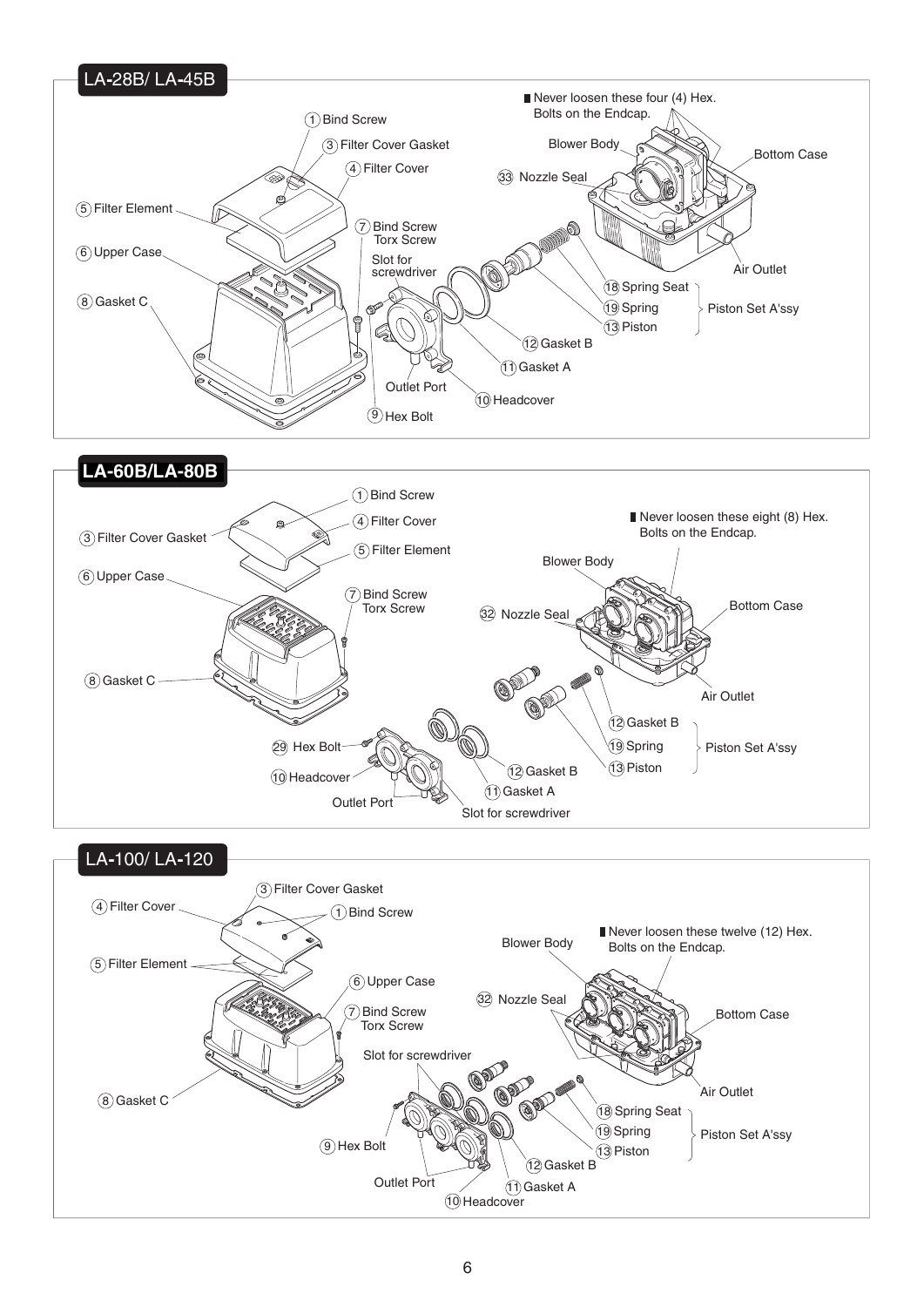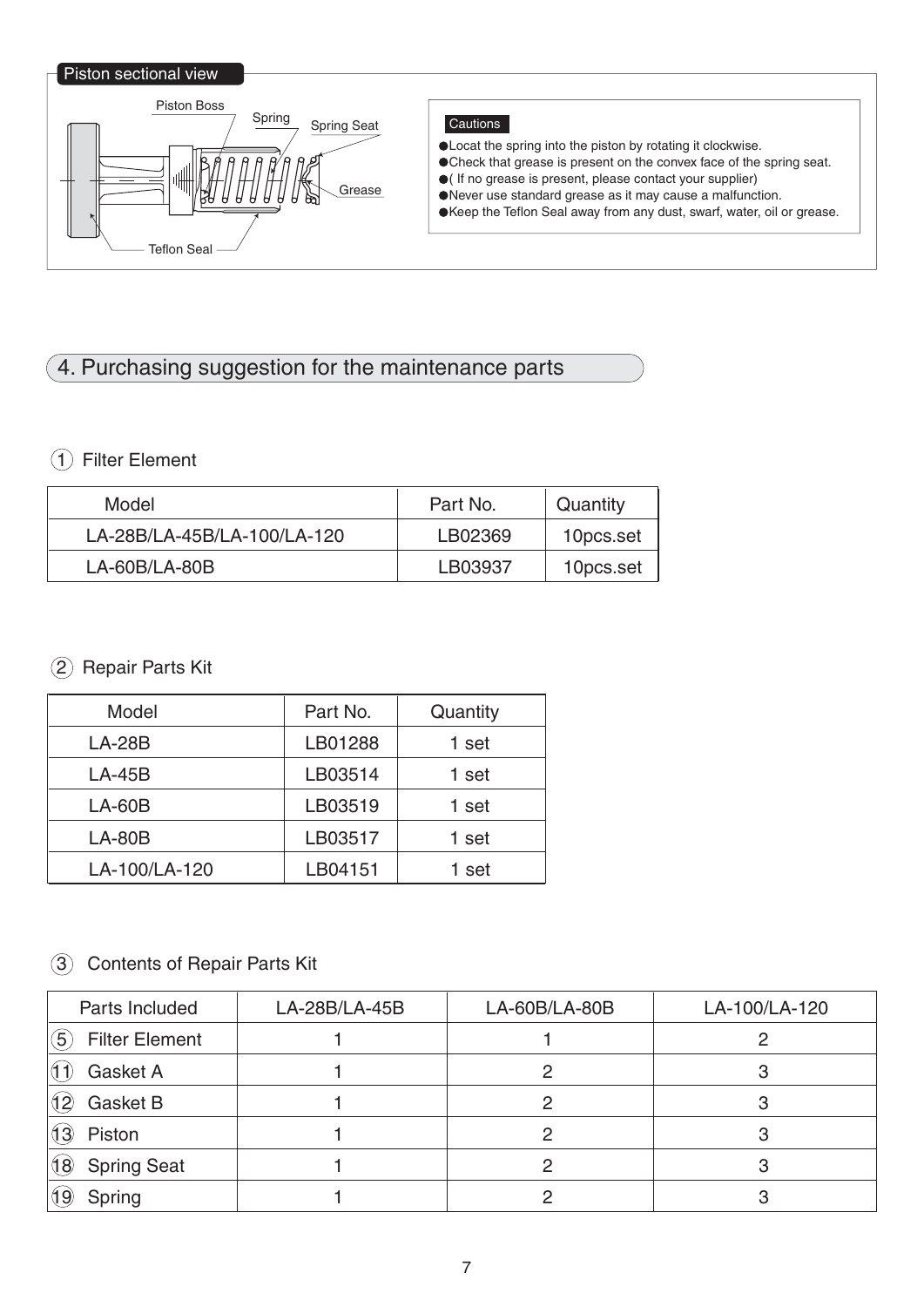#### Piston sectional view



#### **Cautions**

- Locat the spring into the piston by rotating it clockwise.
- Check that grease is present on the convex face of the spring seat.
- ( If no grease is present, please contact your supplier)
- Never use standard grease as it may cause a malfunction. Keep the Teflon Seal away from any dust, swarf, water, oil or grease.

## 4. Purchasing suggestion for the maintenance parts

#### 1 Filter Element

| Model                       | Part No. | Quantity  |
|-----------------------------|----------|-----------|
| LA-28B/LA-45B/LA-100/LA-120 | LB02369  | 10pcs.set |
| $LA-60B/LA-80B$             | LB03937  | 10pcs.set |

#### 2 Repair Parts Kit

| Model         | Part No. | Quantity |
|---------------|----------|----------|
| $LA-28B$      | LB01288  | 1 set    |
| $LA-45B$      | LB03514  | 1 set    |
| $LA-60B$      | LB03519  | 1 set    |
| $LA-80B$      | LB03517  | 1 set    |
| LA-100/LA-120 | LB04151  | 1 set    |

#### 3 Contents of Repair Parts Kit

| Parts Included                            | LA-28B/LA-45B | LA-60B/LA-80B | LA-100/LA-120 |
|-------------------------------------------|---------------|---------------|---------------|
| $\left(5\right)$<br><b>Filter Element</b> |               |               |               |
| Gasket A                                  |               | o             |               |
| <b>Gasket B</b><br>(12)                   |               | റ             | З             |
| Piston<br>(13)                            |               |               |               |
| (18)<br><b>Spring Seat</b>                |               | っ             |               |
| Spring                                    |               |               |               |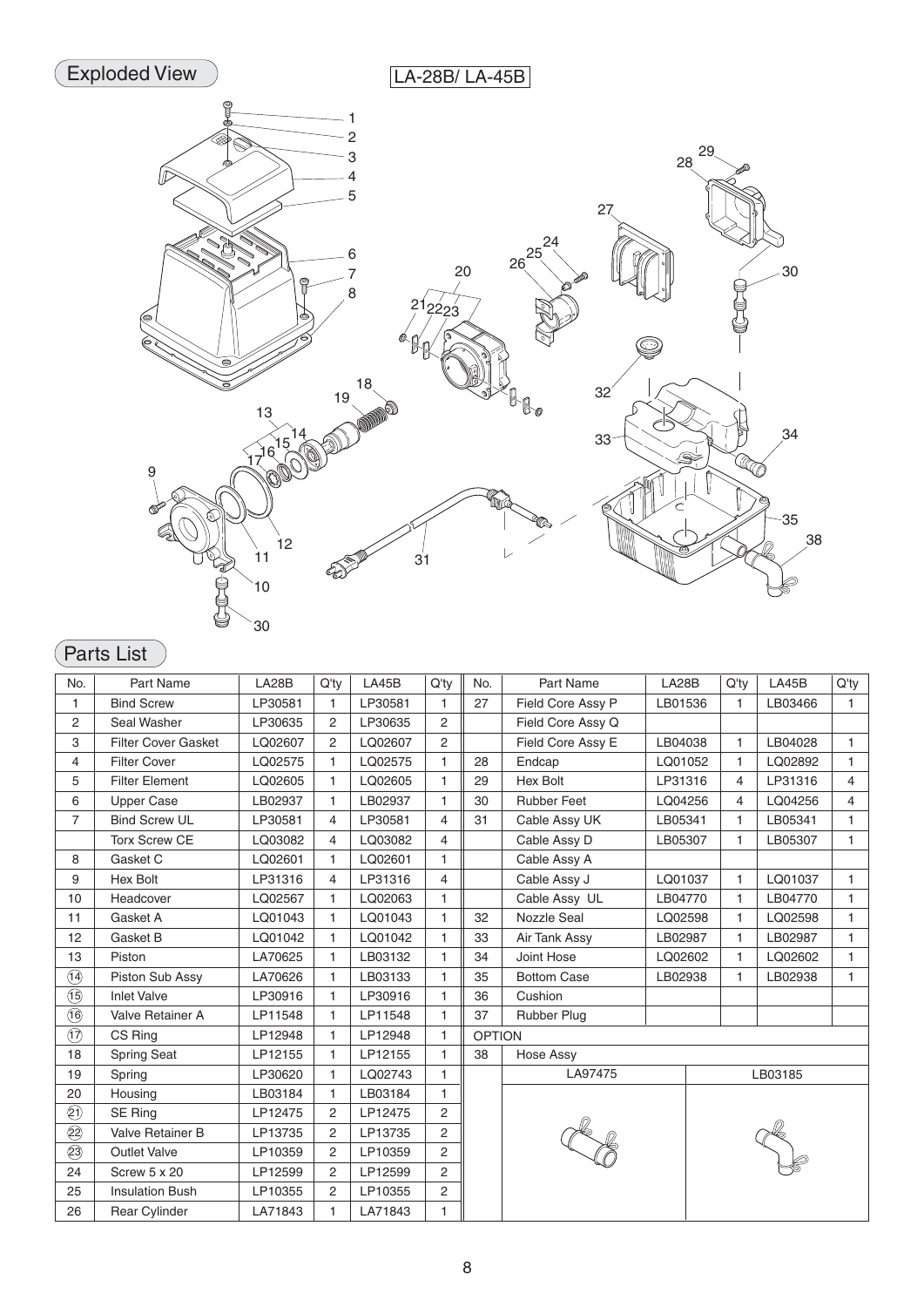

## Parts List

| No.                                   | Part Name                  | LA28B   | $Q'$ ty        | LA45B   | Q'ty           | No.           | Part Name          | LA28B   | Q'ty         | LA45B   | Q'ty           |
|---------------------------------------|----------------------------|---------|----------------|---------|----------------|---------------|--------------------|---------|--------------|---------|----------------|
| 1                                     | <b>Bind Screw</b>          | LP30581 | $\mathbf{1}$   | LP30581 | $\mathbf{1}$   | 27            | Field Core Assy P  | LB01536 | $\mathbf{1}$ | LB03466 | $\mathbf{1}$   |
| 2                                     | Seal Washer                | LP30635 | $\overline{2}$ | LP30635 | 2              |               | Field Core Assy Q  |         |              |         |                |
| 3                                     | <b>Filter Cover Gasket</b> | LQ02607 | $\overline{2}$ | LQ02607 | 2              |               | Field Core Assy E  | LB04038 | $\mathbf{1}$ | LB04028 | $\mathbf{1}$   |
| 4                                     | <b>Filter Cover</b>        | LQ02575 | 1              | LQ02575 | $\mathbf{1}$   | 28            | Endcap             | LQ01052 | $\mathbf{1}$ | LQ02892 | $\mathbf{1}$   |
| 5                                     | <b>Filter Element</b>      | LQ02605 | 1              | LQ02605 | $\mathbf{1}$   | 29            | <b>Hex Bolt</b>    | LP31316 | 4            | LP31316 | 4              |
| 6                                     | <b>Upper Case</b>          | LB02937 | 1              | LB02937 | $\mathbf{1}$   | 30            | <b>Rubber Feet</b> | LQ04256 | 4            | LQ04256 | $\overline{4}$ |
| $\overline{7}$                        | <b>Bind Screw UL</b>       | LP30581 | 4              | LP30581 | $\overline{4}$ | 31            | Cable Assy UK      | LB05341 | 1            | LB05341 | 1              |
|                                       | <b>Torx Screw CE</b>       | LQ03082 | 4              | LQ03082 | 4              |               | Cable Assy D       | LB05307 | $\mathbf{1}$ | LB05307 | $\mathbf{1}$   |
| 8                                     | Gasket C                   | LQ02601 | 1              | LQ02601 | 1              |               | Cable Assy A       |         |              |         |                |
| 9                                     | Hex Bolt                   | LP31316 | 4              | LP31316 | $\overline{4}$ |               | Cable Assy J       | LQ01037 | $\mathbf{1}$ | LQ01037 | $\mathbf{1}$   |
| 10                                    | Headcover                  | LQ02567 | 1              | LQ02063 | $\mathbf{1}$   |               | Cable Assy UL      | LB04770 | $\mathbf{1}$ | LB04770 | 1              |
| 11                                    | Gasket A                   | LQ01043 | 1              | LQ01043 | $\mathbf{1}$   | 32            | <b>Nozzle Seal</b> | LQ02598 | $\mathbf{1}$ | LQ02598 | $\mathbf{1}$   |
| 12                                    | Gasket B                   | LQ01042 | 1              | LQ01042 | $\mathbf{1}$   | 33            | Air Tank Assy      | LB02987 | $\mathbf{1}$ | LB02987 | 1              |
| 13                                    | Piston                     | LA70625 | 1              | LB03132 | $\mathbf{1}$   | 34            | Joint Hose         | LQ02602 | $\mathbf{1}$ | LQ02602 | $\mathbf{1}$   |
| $\overline{14}$                       | Piston Sub Assy            | LA70626 | 1              | LB03133 | $\mathbf{1}$   | 35            | <b>Bottom Case</b> | LB02938 | 1            | LB02938 | $\mathbf{1}$   |
| $\overline{15}$                       | <b>Inlet Valve</b>         | LP30916 | 1              | LP30916 | $\mathbf{1}$   | 36            | Cushion            |         |              |         |                |
| $\overline{16}$                       | Valve Retainer A           | LP11548 | 1              | LP11548 | $\mathbf{1}$   | 37            | <b>Rubber Plug</b> |         |              |         |                |
| $\overline{\textcircled{1}}$          | CS Ring                    | LP12948 | 1              | LP12948 | $\mathbf{1}$   | <b>OPTION</b> |                    |         |              |         |                |
| 18                                    | <b>Spring Seat</b>         | LP12155 | 1              | LP12155 | $\mathbf{1}$   | 38            | <b>Hose Assy</b>   |         |              |         |                |
| 19                                    | Spring                     | LP30620 | 1              | LQ02743 | $\mathbf{1}$   |               | LA97475            |         |              | LB03185 |                |
| 20                                    | Housing                    | LB03184 | 1              | LB03184 | $\mathbf{1}$   |               |                    |         |              |         |                |
| $\circledS$                           | SE Ring                    | LP12475 | $\overline{2}$ | LP12475 | 2              |               |                    |         |              |         |                |
| $\overline{\textcircled{\textbf{2}}}$ | Valve Retainer B           | LP13735 | 2              | LP13735 | $\overline{2}$ |               |                    |         |              |         |                |
| $\circledS$                           | <b>Outlet Valve</b>        | LP10359 | 2              | LP10359 | 2              |               |                    |         |              |         |                |
| 24                                    | Screw 5 x 20               | LP12599 | $\overline{2}$ | LP12599 | 2              |               |                    |         |              |         |                |
| 25                                    | <b>Insulation Bush</b>     | LP10355 | 2              | LP10355 | $\overline{2}$ |               |                    |         |              |         |                |
| 26                                    | <b>Rear Cylinder</b>       | LA71843 | 1              | LA71843 | 1              |               |                    |         |              |         |                |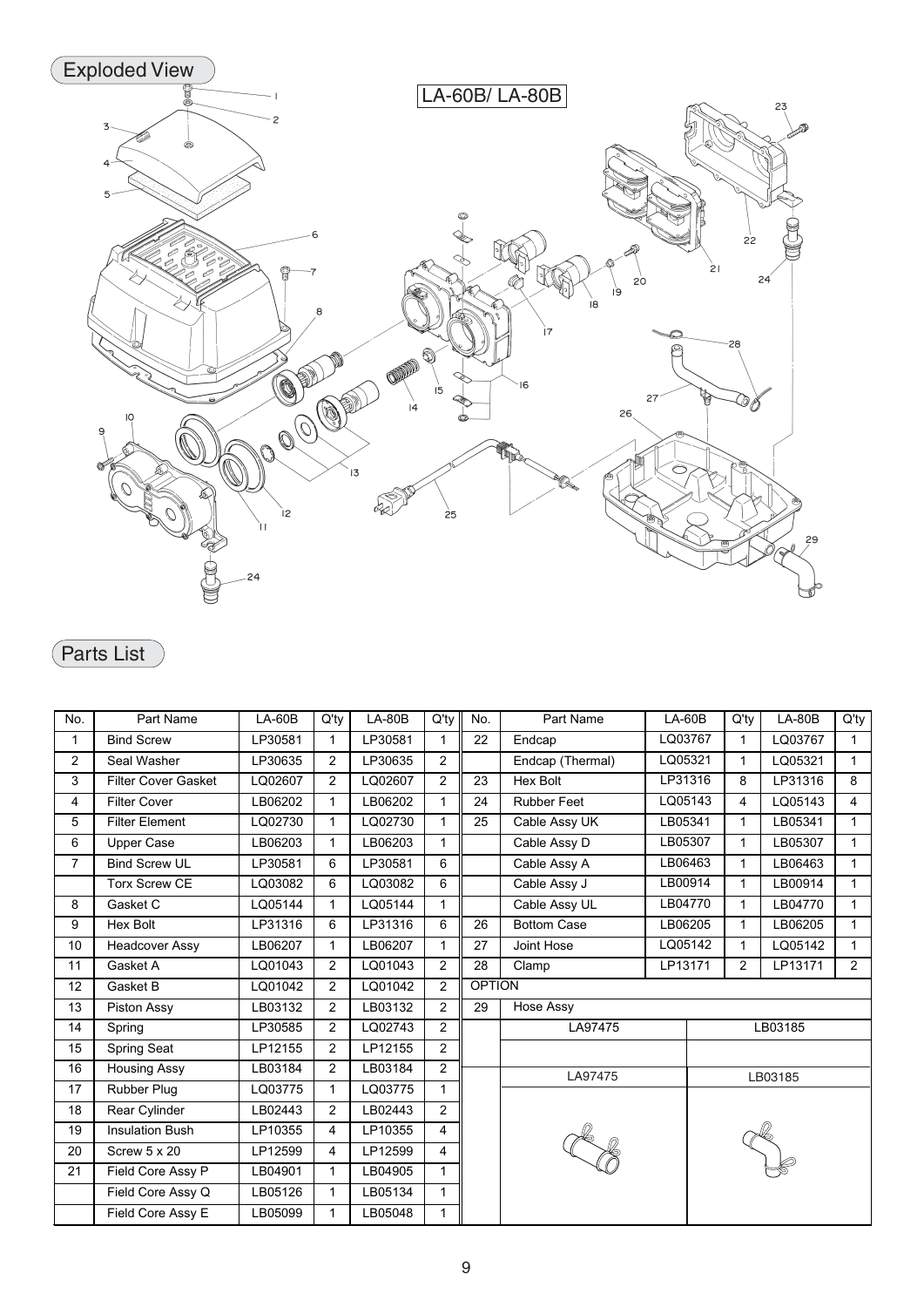

## Parts List

| No.            | Part Name                  | $LA-60B$ | $Q'$ ty        | $LA-80B$ | Q'ty           | No.           | Part Name          | $LA-60B$ | $Q'$ ty        | $LA-80B$ | $Q'$ ty        |
|----------------|----------------------------|----------|----------------|----------|----------------|---------------|--------------------|----------|----------------|----------|----------------|
| 1              | <b>Bind Screw</b>          | LP30581  | $\mathbf{1}$   | LP30581  | 1              | 22            | Endcap             | LQ03767  | 1              | LQ03767  | $\mathbf{1}$   |
| $\overline{2}$ | Seal Washer                | LP30635  | $\overline{2}$ | LP30635  | 2              |               | Endcap (Thermal)   | LQ05321  | $\mathbf{1}$   | LQ05321  | 1              |
| 3              | <b>Filter Cover Gasket</b> | LQ02607  | $\overline{2}$ | LQ02607  | 2              | 23            | Hex Bolt           | LP31316  | 8              | LP31316  | 8              |
| 4              | <b>Filter Cover</b>        | LB06202  | 1              | LB06202  | 1              | 24            | <b>Rubber Feet</b> | LQ05143  | 4              | LQ05143  | $\overline{4}$ |
| 5              | <b>Filter Element</b>      | LQ02730  | $\mathbf{1}$   | LQ02730  | 1              | 25            | Cable Assy UK      | LB05341  | 1              | LB05341  | $\mathbf{1}$   |
| 6              | <b>Upper Case</b>          | LB06203  | $\mathbf{1}$   | LB06203  | $\mathbf{1}$   |               | Cable Assy D       | LB05307  | 1              | LB05307  | $\mathbf{1}$   |
| $\overline{7}$ | <b>Bind Screw UL</b>       | LP30581  | 6              | LP30581  | 6              |               | Cable Assy A       | LB06463  | 1              | LB06463  | $\mathbf{1}$   |
|                | Torx Screw CE              | LQ03082  | 6              | LQ03082  | 6              |               | Cable Assy J       | LB00914  | $\mathbf{1}$   | LB00914  | $\mathbf{1}$   |
| 8              | Gasket C                   | LQ05144  | 1              | LQ05144  | 1              |               | Cable Assy UL      | LB04770  | $\mathbf{1}$   | LB04770  | $\mathbf{1}$   |
| 9              | Hex Bolt                   | LP31316  | 6              | LP31316  | 6              | 26            | <b>Bottom Case</b> | LB06205  | $\mathbf 1$    | LB06205  | $\mathbf{1}$   |
| 10             | <b>Headcover Assy</b>      | LB06207  | 1              | LB06207  | 1              | 27            | Joint Hose         | LQ05142  |                | LQ05142  | $\mathbf{1}$   |
| 11             | Gasket A                   | LQ01043  | $\overline{2}$ | LQ01043  | 2              | 28            | LP13171<br>Clamp   |          | $\overline{2}$ | LP13171  | $\overline{2}$ |
| 12             | Gasket B                   | LQ01042  | $\overline{2}$ | LQ01042  | 2              | <b>OPTION</b> |                    |          |                |          |                |
| 13             | Piston Assy                | LB03132  | $\overline{2}$ | LB03132  | $\overline{2}$ | 29            | Hose Assy          |          |                |          |                |
| 14             | Spring                     | LP30585  | 2              | LQ02743  | $\overline{2}$ |               | LA97475            |          |                | LB03185  |                |
| 15             | <b>Spring Seat</b>         | LP12155  | $\overline{2}$ | LP12155  | 2              |               |                    |          |                |          |                |
| 16             | <b>Housing Assy</b>        | LB03184  | 2              | LB03184  | 2              |               | LA97475            |          |                | LB03185  |                |
| 17             | Rubber Plug                | LQ03775  | 1              | LQ03775  |                |               |                    |          |                |          |                |
| 18             | Rear Cylinder              | LB02443  | $\overline{2}$ | LB02443  | $\overline{2}$ |               |                    |          |                |          |                |
| 19             | <b>Insulation Bush</b>     | LP10355  | 4              | LP10355  | 4              |               |                    |          |                |          |                |
| 20             | Screw 5 x 20               | LP12599  | 4              | LP12599  | 4              |               |                    |          |                |          |                |
| 21             | Field Core Assy P          | LB04901  | $\mathbf 1$    | LB04905  | 1              |               |                    |          |                |          |                |
|                | Field Core Assy Q          | LB05126  | 1              | LB05134  | 1              |               |                    |          |                |          |                |
|                | Field Core Assy E          | LB05099  | 1              | LB05048  | 1              |               |                    |          |                |          |                |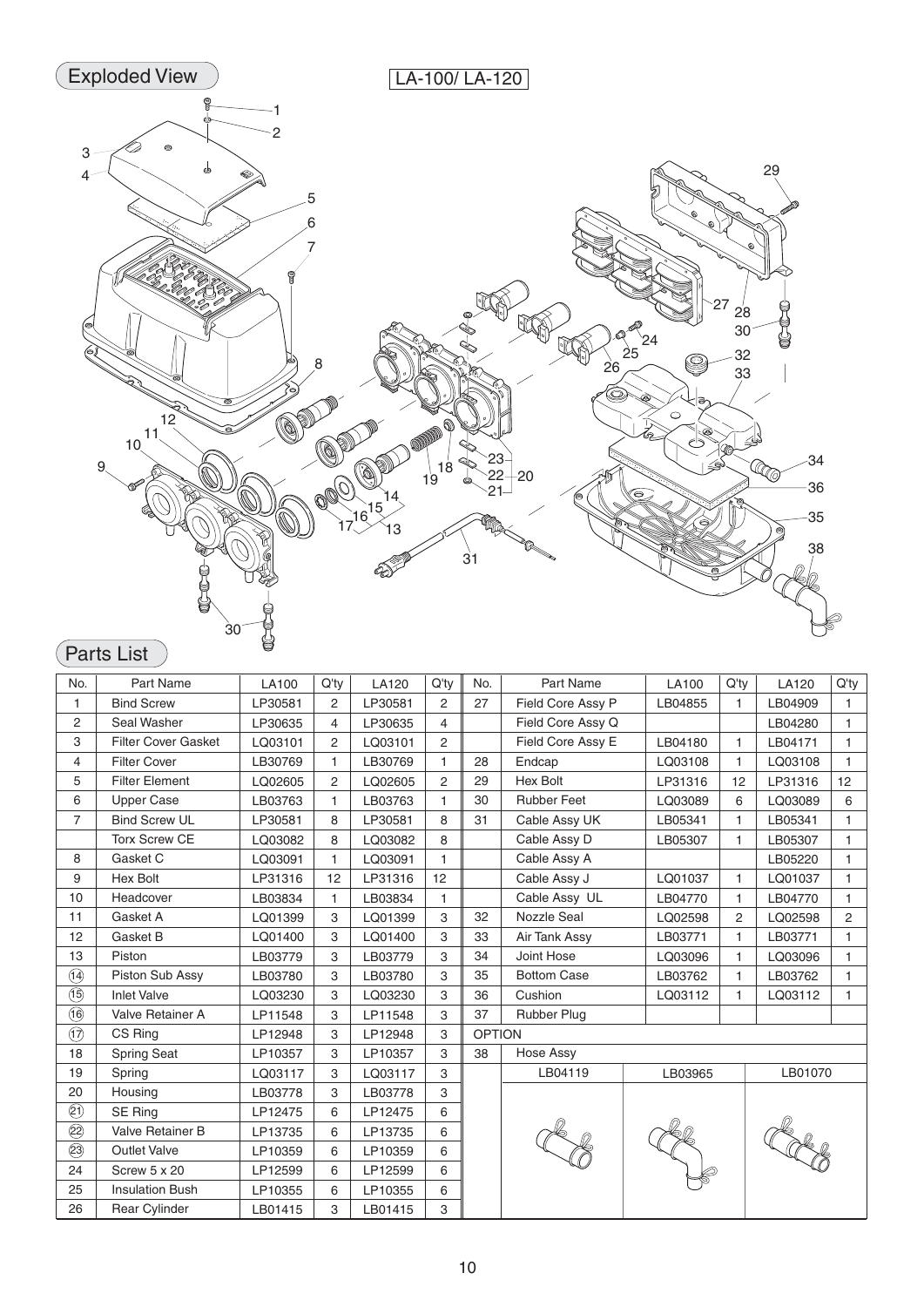

## Parts List

| No.                                  | <b>Part Name</b>           | <b>LA100</b> | Q'ty           | LA120   | $Q'$ ty        | No.           | Part Name          | <b>LA100</b> | $Q'$ ty        | <b>LA120</b> | Q'ty         |
|--------------------------------------|----------------------------|--------------|----------------|---------|----------------|---------------|--------------------|--------------|----------------|--------------|--------------|
| 1                                    | <b>Bind Screw</b>          | LP30581      | $\overline{2}$ | LP30581 | 2              | 27            | Field Core Assy P  | LB04855      | 1              | LB04909      | $\mathbf{1}$ |
| 2                                    | Seal Washer                | LP30635      | 4              | LP30635 | 4              |               | Field Core Assy Q  |              |                | LB04280      | 1            |
| 3                                    | <b>Filter Cover Gasket</b> | LQ03101      | 2              | LQ03101 | 2              |               | Field Core Assy E  | LB04180      | 1              | LB04171      | $\mathbf{1}$ |
| 4                                    | <b>Filter Cover</b>        | LB30769      | $\mathbf{1}$   | LB30769 | 1              | 28            | Endcap             | LQ03108      | 1              | LQ03108      | $\mathbf{1}$ |
| 5                                    | <b>Filter Element</b>      | LQ02605      | 2              | LQ02605 | $\overline{2}$ | 29            | <b>Hex Bolt</b>    | LP31316      | 12             | LP31316      | 12           |
| 6                                    | <b>Upper Case</b>          | LB03763      | $\mathbf{1}$   | LB03763 | 1              | 30            | <b>Rubber Feet</b> | LQ03089      | 6              | LQ03089      | 6            |
| $\overline{7}$                       | <b>Bind Screw UL</b>       | LP30581      | 8              | LP30581 | 8              | 31            | Cable Assy UK      | LB05341      | 1              | LB05341      | $\mathbf{1}$ |
|                                      | <b>Torx Screw CE</b>       | LQ03082      | 8              | LQ03082 | 8              |               | Cable Assy D       | LB05307      | 1              | LB05307      | 1            |
| 8                                    | Gasket C                   | LQ03091      | $\mathbf{1}$   | LQ03091 | $\mathbf{1}$   |               | Cable Assy A       |              |                | LB05220      | $\mathbf{1}$ |
| 9                                    | <b>Hex Bolt</b>            | LP31316      | 12             | LP31316 | 12             |               | Cable Assy J       | LQ01037      | 1              | LQ01037      | 1            |
| 10                                   | Headcover                  | LB03834      | 1              | LB03834 | $\mathbf{1}$   |               | Cable Assy UL      | LB04770      | 1              | LB04770      | 1            |
| 11                                   | Gasket A                   | LQ01399      | 3              | LQ01399 | 3              | 32            | <b>Nozzle Seal</b> | LQ02598      | $\overline{2}$ | LQ02598      | 2            |
| 12                                   | Gasket B                   | LQ01400      | 3              | LQ01400 | 3              | 33            | Air Tank Assy      | LB03771      | 1              | LB03771      | 1            |
| 13                                   | Piston                     | LB03779      | 3              | LB03779 | 3              | 34            | Joint Hose         | LQ03096      | 1              | LQ03096      | $\mathbf{1}$ |
| $\bigcirc$                           | Piston Sub Assy            | LB03780      | 3              | LB03780 | 3              | 35            | <b>Bottom Case</b> | LB03762      | 1              | LB03762      | $\mathbf{1}$ |
| $\circled{1}$                        | <b>Inlet Valve</b>         | LQ03230      | 3              | LQ03230 | 3              | 36            | Cushion            | LQ03112      |                | LQ03112      | 1            |
| $\circled6$                          | Valve Retainer A           | LP11548      | 3              | LP11548 | 3              | 37            | Rubber Plug        |              |                |              |              |
| $\textcircled{\small{1}}$            | CS Ring                    | LP12948      | 3              | LP12948 | 3              | <b>OPTION</b> |                    |              |                |              |              |
| 18                                   | <b>Spring Seat</b>         | LP10357      | 3              | LP10357 | 3              | 38            | Hose Assy          |              |                |              |              |
| 19                                   | Spring                     | LQ03117      | 3              | LQ03117 | 3              |               | LB04119            | LB03965      |                | LB01070      |              |
| 20                                   | Housing                    | LB03778      | 3              | LB03778 | 3              |               |                    |              |                |              |              |
| $\overline{\textcircled{\tiny 2}}$   | SE Ring                    | LP12475      | 6              | LP12475 | 6              |               |                    |              |                |              |              |
| $\overline{\textcircled{\small{2}}}$ | Valve Retainer B           | LP13735      | 6              | LP13735 | 6              |               |                    |              |                |              |              |
| $\circled{3}$                        | <b>Outlet Valve</b>        | LP10359      | 6              | LP10359 | 6              |               |                    |              |                |              |              |
| 24                                   | Screw 5 x 20               | LP12599      | 6              | LP12599 | 6              |               |                    |              |                |              |              |
| 25                                   | <b>Insulation Bush</b>     | LP10355      | 6              | LP10355 | 6              |               |                    |              |                |              |              |
| 26                                   | <b>Rear Cylinder</b>       | LB01415      | 3              | LB01415 | 3              |               |                    |              |                |              |              |